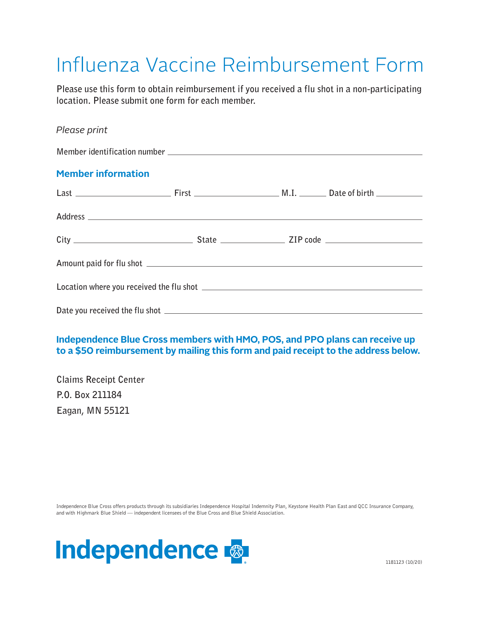# Influenza Vaccine Reimbursement Form

**Please use this form to obtain reimbursement if you received a flu shot in a non-participating location. Please submit one form for each member.**

## *Please print*

| <b>Member information</b> |  |  |  |
|---------------------------|--|--|--|
|                           |  |  |  |
|                           |  |  |  |
|                           |  |  |  |
|                           |  |  |  |
|                           |  |  |  |
|                           |  |  |  |

## **Independence Blue Cross members with HMO, POS, and PPO plans can receive up to a \$50 reimbursement by mailing this form and paid receipt to the address below.**

**Claims Receipt Center P.O. Box 211184 Eagan, MN 55121** 

Independence Blue Cross offers products through its subsidiaries Independence Hospital Indemnity Plan, Keystone Health Plan East and QCC Insurance Company, and with Highmark Blue Shield — independent licensees of the Blue Cross and Blue Shield Association.

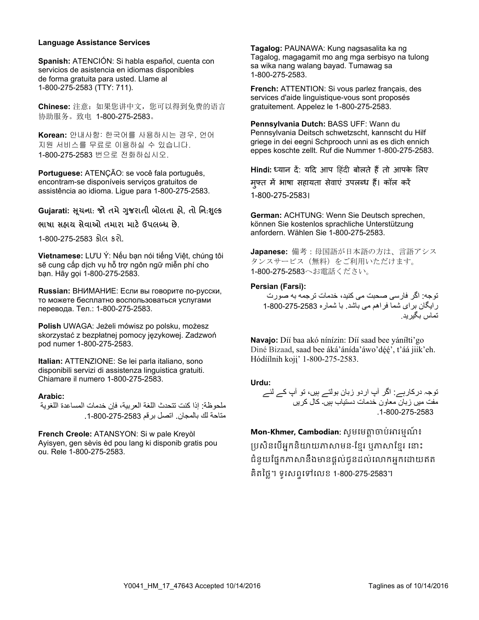#### **Language Assistance Services**

**Spanish:** ATENCIÓN: Si habla español, cuenta con servicios de asistencia en idiomas disponibles de forma gratuita para usted. Llame al 1-800-275-2583 (TTY: 711).

**Chinese:** 注意:如果您讲中文,您可以得到免费的语言 协助服务。致电 1-800-275-2583。

**Korean:** 안내사항: 한국어를 사용하시는 경우, 언어 de forma gratuita para usted. Llame al 지원 서비스를 무료로 이용하실 수 있습니다. 1-800-275-2583 (TTY: 711). 1-800-275-2583 번으로 전화하십시오. C<sub>HI</sub>NES, 2019 01:00 PM 2, 2019 01:00 PM 2, 2019 01:00 PM 2, 2019 01:00 PM 2, 2019 01:00 PM 2, 2019 01:00 PM 2, 20<br>- 2019 01:00 PM 2, 2019 01:00 PM 2, 2019 01:00 PM 2, 2019 01:00 PM 2, 2019 01:00 PM 2, 2019 01:00 PM 2, 20

Portuguese: ATENÇÃO: se você fala português, encontram-se disponíveis serviços gratuitos de assistência ao idioma. Ligue para 1-800-275-2583.

**Gujarati: �ચના ૂ** : **જો તમે�જરાતી ુ બોલતા હો**, **તો િન**:**���ુ** 1-800-275-2583 번으로 전화하십시오.

**ભાષા સહાય સેવાઓ તમારા માટ���લ�� છે**. **Portuguese:** ATENÇÃO: se você fala português,

1-800-275-2583 કોલ કરો.

**Vietnamese:** LƯU Ý: Nếu bạn nói tiếng Việt, chúng tôi  $\frac{\partial}{\partial \theta}$  cung cấp dịch vụ hỗ trợ ngôn ngữ miễn phí cho **nhà đ**ơn thị trong phác trong th bạn. Hãy gọi 1-800-275-2583. **ભાષા સહાય સેવાઓ તમારા માટ���લ�� છે**.

**Russian:** ВНИМАНИЕ: Если вы говорите по-русски, то можете бесплатно воспользоваться услугами перевода. Тел.: 1-800-275-2583.

**Polish** UWAGA: Jeżeli mówisz po polsku, możesz skorzystać z bezpłatnej pomocy językowej. Zadzwoń pod numer 1-800-275-2583.

**Italian:** ATTENZIONE: Se lei parla italiano, sono disponibili servizi di assistenza linguistica gratuiti. Chiamare il numero 1-800-275-2583.

#### **Arabic:**

ملحوظة: إذا كنت تتحدث اللغة العربية، فإن خدمات المساعدة اللغوية متاحة لك بالمجان. اتصل برقم 2583-275-800-1. disponibili servizi di assistenza linguistica gratuiti.

French Creole: ATANSYON: Si w pale Kreyòl Ayisyen, gen sèvis èd pou lang ki disponib gratis pou ou. Rele 1-800-275-2583. **Arabic:** 

**Tagalog:** PAUNAWA: Kung nagsasalita ka ng Tagalog, magagamit mo ang mga serbisyo na tulong sa wika nang walang bayad. Tumawag sa 1-800-275-2583.

**French:** ATTENTION: Si vous parlez français, des services d'aide linguistique-vous sont proposés<br>arctuitement, Annelez le 1,800,375,3583. gratuitement. Appelez le 1-800-275-2583.

ro-zood.<br>**Pennsylvania Dutch:** BASS UFF: Wann du r ennsylvania Duich. BASS OFT: wann du<br>Pennsylvania Deitsch schwetzscht, kannscht du Hilf griege in dei eegni Schprooch unni as es dich ennich eppes koschte zellt. Ruf die Nummer 1-800-275-2583.

**Hindi: ध्यान दें: यदि आप हिंदी बोलते हैं तो आपके लिए** मुफ्त में भाषा सहायता सेवाएं उपलब्ध हैं। कॉल करें 1-800-275-2583।  $1 - 800 - 2$  $P$ ennsylvania Deitsche schwedzen schwedzen schwedzen schwedzen schwedzen schwedzen schwedzen schwedzen schwedzen schwedzen schwedzen schwedzen schwedzen schwedzen schwedzen schwedzen schwedzen schwedzen schwedzen schwedz

**German:** ACHTUNG: Wenn Sie Deutsch sprechen, können Sie kostenlos sprachliche Unterstützung anfordern. Wählen Sie 1-800-275-2583.

> **Japanese:** 備考 : 母国語が日本語の方は、言語アシス タンスサービス(無料)をご利用いただけます。 1-800-275-2583へお電話ください。  $k = 1$ e kostenlos sprachliche Unterstützung sprachliche Unterstützung unterstützung unterstützung unterstützung unterstützung unterstützung unterstützung unterstützung unterstützung unterstützung unterstützung unterstützu

#### **Persian (Farsi):**

توجه: اگر فارسی صحبت می کنيد، خدمات ترجمه به صورت ر ايگان بر اي شما فراهم مي باشد. با شماره 2583-275-2600-1<br>75-2583. تماس بگيريد.

Navajo: Díí baa akó nínízin: Díí saad bee yáníłti'go **BEAT THE 1819 HOLD IN DINGLE 1818 SEARCH STATES SEARCH SEARCH SEARCH SEARCH SEARCH SEARCH SEARCH SEARCH SEARCH S**<br>Diné Bizaad, saad bee áká'ánída'áwo'déé', t'áá jiik'eh. Hódíilnih koji' 1-800-275-2583. Diné Bizaad, saad bee áká'ánída'áwo'déé', t'áá jiik'eh.  $83.$ 

#### **Urdu:**

توجہ درکارہے: اگر آپ اردو زبان بولتے ہيں، تو آپ کے لئے مفت ميں زبان معاون خدمات دستياب ہيں۔ کال کريں .1-800-275-2583 skorzystać z bezpłatnej pomocy językowej. Zadzwoń **Navajo:** D77 baa ak0 n7n7zin: D77 saad bee y1n7[ti'go Diné Bizaad, saad bee 1k1'1n7da'1wo'd66', t'11 jiik'eh. H0d77lnih koj8' 1-800-275-2583.

**Mon-Khmer, Cambodian:** សូមមេត្តាចាប់អារម្មណ៍៖<br>៉ា ប្រសិនបើអ្នកនិយាយភាសាមន-ខ្មែរ ឬភាសាខ្មែរ នោះ ជំនួយផ្នែកភាសានឹងមានផ្តល់ជូនដល់លោកអ្នកដោយឥត គិតថ្លៃ។ ទូរសព្ទទៅលេខ 1-800-275-2583។